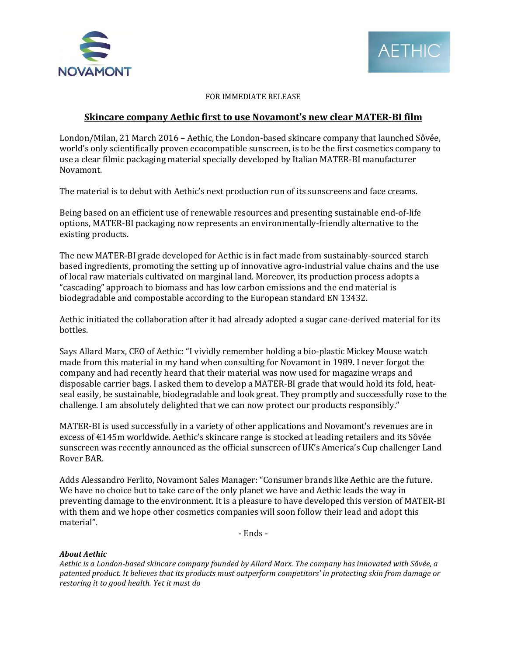



## FOR IMMEDIATE RELEASE

# **Skincare company Aethic first to use Novamont's new clear MATER-BI film**

London/Milan, 21 March 2016 – Aethic, the London-based skincare company that launched Sôvée, world's only scientifically proven ecocompatible sunscreen, is to be the first cosmetics company to use a clear filmic packaging material specially developed by Italian MATER-BI manufacturer Novamont.

The material is to debut with Aethic's next production run of its sunscreens and face creams.

Being based on an efficient use of renewable resources and presenting sustainable end-of-life options, MATER-BI packaging now represents an environmentally-friendly alternative to the existing products.

The new MATER-BI grade developed for Aethic is in fact made from sustainably-sourced starch based ingredients, promoting the setting up of innovative agro-industrial value chains and the use of local raw materials cultivated on marginal land. Moreover, its production process adopts a "cascading" approach to biomass and has low carbon emissions and the end material is biodegradable and compostable according to the European standard EN 13432.

Aethic initiated the collaboration after it had already adopted a sugar cane-derived material for its bottles.

Says Allard Marx, CEO of Aethic: "I vividly remember holding a bio-plastic Mickey Mouse watch made from this material in my hand when consulting for Novamont in 1989. I never forgot the company and had recently heard that their material was now used for magazine wraps and disposable carrier bags. I asked them to develop a MATER-BI grade that would hold its fold, heatseal easily, be sustainable, biodegradable and look great. They promptly and successfully rose to the challenge. I am absolutely delighted that we can now protect our products responsibly."

MATER-BI is used successfully in a variety of other applications and Novamont's revenues are in excess of €145m worldwide. Aethic's skincare range is stocked at leading retailers and its Sôvée sunscreen was recently announced as the official sunscreen of UK's America's Cup challenger Land Rover BAR.

Adds Alessandro Ferlito, Novamont Sales Manager: "Consumer brands like Aethic are the future. We have no choice but to take care of the only planet we have and Aethic leads the way in preventing damage to the environment. It is a pleasure to have developed this version of MATER-BI with them and we hope other cosmetics companies will soon follow their lead and adopt this material".

- Ends -

### *About Aethic*

*Aethic is a London-based skincare company founded by Allard Marx. The company has innovated with Sôvée, a patented product. It believes that its products must outperform competitors' in protecting skin from damage or restoring it to good health. Yet it must do*